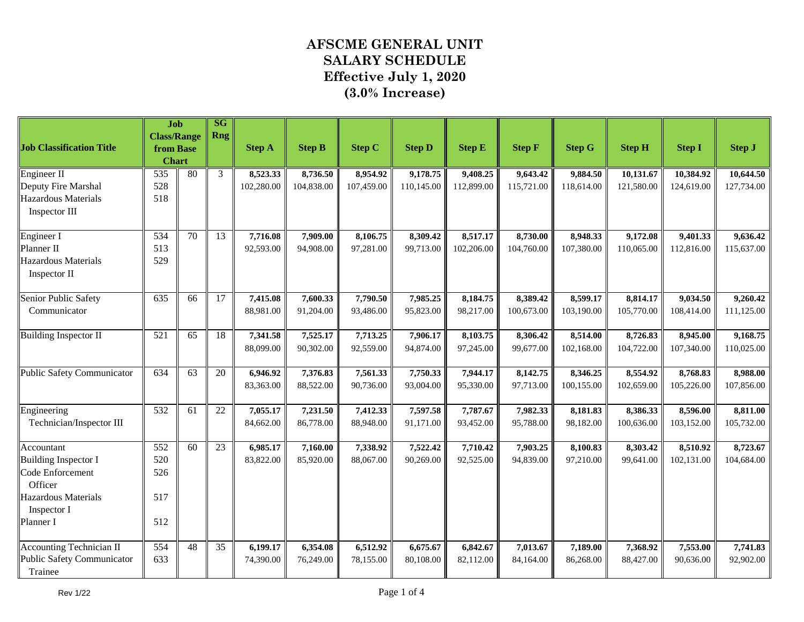|                                              | <b>Job</b>                      |    | SG<br><b>Rng</b> |               |               |               |               |               |               |               |               |               |               |
|----------------------------------------------|---------------------------------|----|------------------|---------------|---------------|---------------|---------------|---------------|---------------|---------------|---------------|---------------|---------------|
| <b>Job Classification Title</b>              | <b>Class/Range</b><br>from Base |    |                  | <b>Step A</b> | <b>Step B</b> | <b>Step C</b> | <b>Step D</b> | <b>Step E</b> | <b>Step F</b> | <b>Step G</b> | <b>Step H</b> | <b>Step I</b> | <b>Step J</b> |
|                                              | <b>Chart</b>                    |    |                  |               |               |               |               |               |               |               |               |               |               |
| Engineer II                                  | 535                             | 80 | $\overline{3}$   | 8,523.33      | 8,736.50      | 8,954.92      | 9,178.75      | 9,408.25      | 9,643.42      | 9,884.50      | 10,131.67     | 10,384.92     | 10,644.50     |
| Deputy Fire Marshal                          | 528                             |    |                  | 102,280.00    | 104,838.00    | 107,459.00    | 110,145.00    | 112,899.00    | 115,721.00    | 118,614.00    | 121,580.00    | 124,619.00    | 127,734.00    |
| Hazardous Materials                          | 518                             |    |                  |               |               |               |               |               |               |               |               |               |               |
| Inspector III                                |                                 |    |                  |               |               |               |               |               |               |               |               |               |               |
| Engineer I                                   | 534                             | 70 | 13               | 7,716.08      | 7,909.00      | 8,106.75      | 8,309.42      | 8,517.17      | 8,730.00      | 8,948.33      | 9,172.08      | 9,401.33      | 9,636.42      |
| Planner II                                   | 513                             |    |                  | 92,593.00     | 94,908.00     | 97,281.00     | 99,713.00     | 102,206.00    | 104,760.00    | 107,380.00    | 110,065.00    | 112,816.00    | 115,637.00    |
| Hazardous Materials<br>Inspector II          | 529                             |    |                  |               |               |               |               |               |               |               |               |               |               |
| Senior Public Safety                         | 635                             | 66 | 17               | 7,415.08      | 7,600.33      | 7,790.50      | 7,985.25      | 8,184.75      | 8,389.42      | 8,599.17      | 8,814.17      | 9,034.50      | 9,260.42      |
| Communicator                                 |                                 |    |                  | 88,981.00     | 91,204.00     | 93,486.00     | 95,823.00     | 98,217.00     | 100,673.00    | 103,190.00    | 105,770.00    | 108,414.00    | 111,125.00    |
| <b>Building Inspector II</b>                 | 521                             | 65 | 18               | 7,341.58      | 7,525.17      | 7,713.25      | 7,906.17      | 8,103.75      | 8,306.42      | 8,514.00      | 8,726.83      | 8,945.00      | 9,168.75      |
|                                              |                                 |    |                  | 88,099.00     | 90,302.00     | 92,559.00     | 94,874.00     | 97,245.00     | 99,677.00     | 102,168.00    | 104,722.00    | 107,340.00    | 110,025.00    |
| <b>Public Safety Communicator</b>            | 634                             | 63 | 20               | 6,946.92      | 7,376.83      | 7,561.33      | 7,750.33      | 7,944.17      | 8,142.75      | 8,346.25      | 8,554.92      | 8,768.83      | 8,988.00      |
|                                              |                                 |    |                  | 83,363.00     | 88,522.00     | 90,736.00     | 93,004.00     | 95,330.00     | 97,713.00     | 100,155.00    | 102,659.00    | 105,226.00    | 107,856.00    |
| Engineering                                  | 532                             | 61 | $\overline{22}$  | 7,055.17      | 7,231.50      | 7,412.33      | 7,597.58      | 7,787.67      | 7,982.33      | 8,181.83      | 8,386.33      | 8,596.00      | 8,811.00      |
| Technician/Inspector III                     |                                 |    |                  | 84,662.00     | 86,778.00     | 88,948.00     | 91,171.00     | 93,452.00     | 95,788.00     | 98,182.00     | 100,636.00    | 103,152.00    | 105,732.00    |
| Accountant                                   | 552                             | 60 | $\overline{23}$  | 6,985.17      | 7,160.00      | 7,338.92      | 7,522.42      | 7,710.42      | 7,903.25      | 8,100.83      | 8,303.42      | 8,510.92      | 8,723.67      |
| <b>Building Inspector I</b>                  | 520                             |    |                  | 83,822.00     | 85,920.00     | 88,067.00     | 90,269.00     | 92,525.00     | 94,839.00     | 97,210.00     | 99,641.00     | 102,131.00    | 104,684.00    |
| Code Enforcement<br>Officer                  | 526                             |    |                  |               |               |               |               |               |               |               |               |               |               |
| Hazardous Materials                          | 517                             |    |                  |               |               |               |               |               |               |               |               |               |               |
| Inspector I                                  |                                 |    |                  |               |               |               |               |               |               |               |               |               |               |
| Planner I                                    | 512                             |    |                  |               |               |               |               |               |               |               |               |               |               |
| <b>Accounting Technician II</b>              | 554                             | 48 | 35               | 6,199.17      | 6,354.08      | 6,512.92      | 6,675.67      | 6,842.67      | 7,013.67      | 7,189.00      | 7,368.92      | 7,553.00      | 7,741.83      |
| <b>Public Safety Communicator</b><br>Trainee | 633                             |    |                  | 74,390.00     | 76,249.00     | 78,155.00     | 80,108.00     | 82,112.00     | 84,164.00     | 86,268.00     | 88,427.00     | 90,636.00     | 92,902.00     |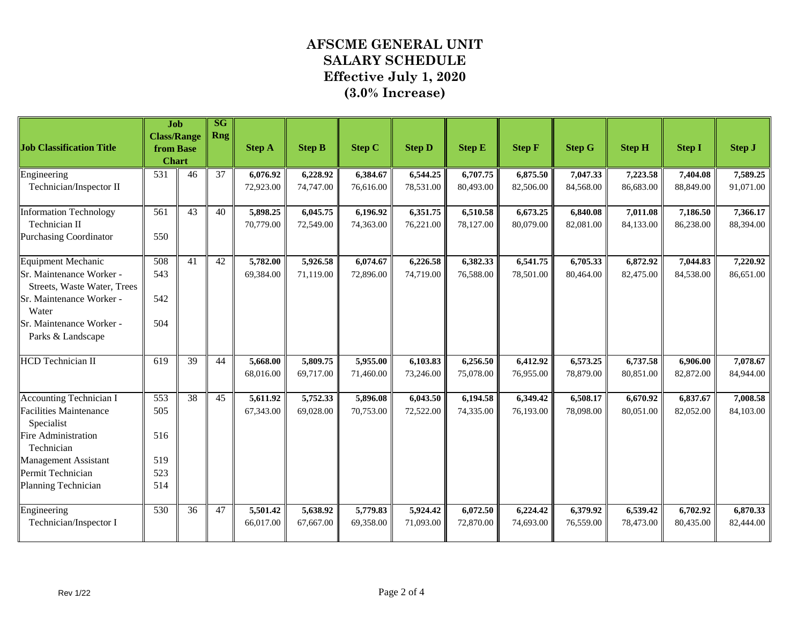| <b>Job Classification Title</b>                                                                                                                                                               | <b>Job</b><br><b>Class/Range</b><br>from Base |    | SG<br><b>Rng</b> | <b>Step A</b>         | <b>Step B</b>         | <b>Step C</b>         | <b>Step D</b>         | <b>Step E</b>         | <b>Step F</b>         | <b>Step G</b>         | <b>Step H</b>         | <b>Step I</b>         | <b>Step J</b>         |
|-----------------------------------------------------------------------------------------------------------------------------------------------------------------------------------------------|-----------------------------------------------|----|------------------|-----------------------|-----------------------|-----------------------|-----------------------|-----------------------|-----------------------|-----------------------|-----------------------|-----------------------|-----------------------|
|                                                                                                                                                                                               | <b>Chart</b>                                  |    |                  |                       |                       |                       |                       |                       |                       |                       |                       |                       |                       |
| Engineering<br>Technician/Inspector II                                                                                                                                                        | 531                                           | 46 | $\overline{37}$  | 6,076.92<br>72,923.00 | 6,228.92<br>74,747.00 | 6,384.67<br>76,616.00 | 6,544.25<br>78,531.00 | 6,707.75<br>80,493.00 | 6,875.50<br>82,506.00 | 7,047.33<br>84,568.00 | 7,223.58<br>86,683.00 | 7,404.08<br>88,849.00 | 7,589.25<br>91,071.00 |
| <b>Information Technology</b><br>Technician II<br><b>Purchasing Coordinator</b>                                                                                                               | 561<br>550                                    | 43 | 40               | 5,898.25<br>70,779.00 | 6,045.75<br>72,549.00 | 6,196.92<br>74,363.00 | 6,351.75<br>76,221.00 | 6,510.58<br>78,127.00 | 6,673.25<br>80,079.00 | 6,840.08<br>82,081.00 | 7,011.08<br>84,133.00 | 7,186.50<br>86,238.00 | 7,366.17<br>88,394.00 |
| Equipment Mechanic<br>Sr. Maintenance Worker -<br>Streets, Waste Water, Trees<br>Sr. Maintenance Worker -<br>Water<br>Sr. Maintenance Worker -<br>Parks & Landscape                           | 508<br>543<br>542<br>504                      | 41 | 42               | 5,782.00<br>69,384.00 | 5,926.58<br>71,119.00 | 6,074.67<br>72,896.00 | 6,226.58<br>74,719.00 | 6,382.33<br>76,588.00 | 6,541.75<br>78,501.00 | 6,705.33<br>80,464.00 | 6,872.92<br>82,475.00 | 7,044.83<br>84,538.00 | 7,220.92<br>86,651.00 |
| <b>HCD</b> Technician II                                                                                                                                                                      | 619                                           | 39 | 44               | 5,668.00<br>68,016.00 | 5,809.75<br>69,717.00 | 5,955.00<br>71,460.00 | 6,103.83<br>73,246.00 | 6,256.50<br>75,078.00 | 6,412.92<br>76,955.00 | 6,573.25<br>78,879.00 | 6,737.58<br>80,851.00 | 6,906.00<br>82,872.00 | 7,078.67<br>84,944.00 |
| <b>Accounting Technician I</b><br><b>Facilities Maintenance</b><br>Specialist<br>Fire Administration<br>Technician<br><b>Management Assistant</b><br>Permit Technician<br>Planning Technician | 553<br>505<br>516<br>519<br>523<br>514        | 38 | 45               | 5,611.92<br>67,343.00 | 5,752.33<br>69,028.00 | 5,896.08<br>70,753.00 | 6,043.50<br>72,522.00 | 6,194.58<br>74,335.00 | 6,349.42<br>76,193.00 | 6,508.17<br>78,098.00 | 6,670.92<br>80.051.00 | 6,837.67<br>82,052.00 | 7,008.58<br>84,103.00 |
| Engineering<br>Technician/Inspector I                                                                                                                                                         | 530                                           | 36 | 47               | 5,501.42<br>66,017.00 | 5,638.92<br>67,667.00 | 5,779.83<br>69,358.00 | 5,924.42<br>71,093.00 | 6,072.50<br>72,870.00 | 6,224.42<br>74,693.00 | 6,379.92<br>76,559.00 | 6,539.42<br>78,473.00 | 6,702.92<br>80,435.00 | 6,870.33<br>82,444.00 |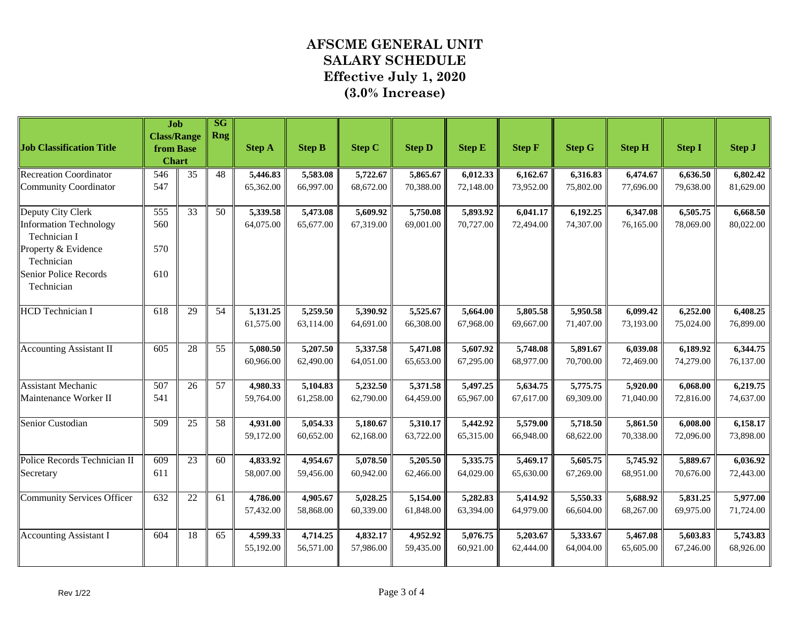|                                               | Job                             |                 | SG         |               |               |               |               |               |               |               |               |               |               |
|-----------------------------------------------|---------------------------------|-----------------|------------|---------------|---------------|---------------|---------------|---------------|---------------|---------------|---------------|---------------|---------------|
| <b>Job Classification Title</b>               | <b>Class/Range</b><br>from Base |                 | <b>Rng</b> | <b>Step A</b> | <b>Step B</b> | <b>Step C</b> | <b>Step D</b> | <b>Step E</b> | <b>Step F</b> | <b>Step G</b> | <b>Step H</b> | <b>Step I</b> | <b>Step J</b> |
|                                               | <b>Chart</b>                    |                 |            |               |               |               |               |               |               |               |               |               |               |
| <b>Recreation Coordinator</b>                 | 546                             | $\overline{35}$ | 48         | 5,446.83      | 5,583.08      | 5,722.67      | 5,865.67      | 6,012.33      | 6,162.67      | 6,316.83      | 6,474.67      | 6,636.50      | 6,802.42      |
| Community Coordinator                         | 547                             |                 |            | 65,362.00     | 66,997.00     | 68,672.00     | 70,388.00     | 72,148.00     | 73,952.00     | 75,802.00     | 77,696.00     | 79,638.00     | 81,629.00     |
| Deputy City Clerk                             | 555                             | 33              | 50         | 5,339.58      | 5,473.08      | 5,609.92      | 5,750.08      | 5,893.92      | 6,041.17      | 6,192.25      | 6,347.08      | 6,505.75      | 6,668.50      |
| <b>Information Technology</b><br>Technician I | 560                             |                 |            | 64,075.00     | 65,677.00     | 67,319.00     | 69,001.00     | 70,727.00     | 72,494.00     | 74,307.00     | 76,165.00     | 78,069.00     | 80,022.00     |
| Property & Evidence<br>Technician             | 570                             |                 |            |               |               |               |               |               |               |               |               |               |               |
| Senior Police Records<br>Technician           | 610                             |                 |            |               |               |               |               |               |               |               |               |               |               |
| <b>HCD</b> Technician I                       | 618                             | 29              | 54         | 5,131.25      | 5,259.50      | 5,390.92      | 5,525.67      | 5,664.00      | 5,805.58      | 5,950.58      | 6,099.42      | 6,252.00      | 6,408.25      |
|                                               |                                 |                 |            | 61,575.00     | 63,114.00     | 64,691.00     | 66,308.00     | 67,968.00     | 69,667.00     | 71,407.00     | 73,193.00     | 75,024.00     | 76,899.00     |
| <b>Accounting Assistant II</b>                | 605                             | 28              | 55         | 5,080.50      | 5,207.50      | 5,337.58      | 5,471.08      | 5,607.92      | 5,748.08      | 5,891.67      | 6,039.08      | 6,189.92      | 6,344.75      |
|                                               |                                 |                 |            | 60,966.00     | 62,490.00     | 64,051.00     | 65,653.00     | 67,295.00     | 68,977.00     | 70,700.00     | 72,469.00     | 74,279.00     | 76,137.00     |
| <b>Assistant Mechanic</b>                     | 507                             | 26              | 57         | 4,980.33      | 5,104.83      | 5,232.50      | 5,371.58      | 5,497.25      | 5,634.75      | 5,775.75      | 5,920.00      | 6,068.00      | 6,219.75      |
| Maintenance Worker II                         | 541                             |                 |            | 59,764.00     | 61,258.00     | 62,790.00     | 64,459.00     | 65,967.00     | 67,617.00     | 69,309.00     | 71,040.00     | 72,816.00     | 74,637.00     |
| Senior Custodian                              | 509                             | 25              | 58         | 4,931.00      | 5,054.33      | 5,180.67      | 5,310.17      | 5,442.92      | 5,579.00      | 5,718.50      | 5,861.50      | 6,008.00      | 6,158.17      |
|                                               |                                 |                 |            | 59,172.00     | 60,652.00     | 62,168.00     | 63,722.00     | 65,315.00     | 66,948.00     | 68,622.00     | 70,338.00     | 72,096.00     | 73,898.00     |
| Police Records Technician II                  | 609                             | 23              | 60         | 4,833.92      | 4,954.67      | 5,078.50      | 5,205.50      | 5,335.75      | 5,469.17      | 5,605.75      | 5,745.92      | 5,889.67      | 6,036.92      |
| Secretary                                     | 611                             |                 |            | 58,007.00     | 59,456.00     | 60,942.00     | 62,466.00     | 64,029.00     | 65,630.00     | 67,269.00     | 68,951.00     | 70,676.00     | 72,443.00     |
| Community Services Officer                    | 632                             | 22              | 61         | 4,786.00      | 4,905.67      | 5,028.25      | 5,154.00      | 5,282.83      | 5,414.92      | 5,550.33      | 5,688.92      | 5,831.25      | 5,977.00      |
|                                               |                                 |                 |            | 57,432.00     | 58,868.00     | 60,339.00     | 61,848.00     | 63,394.00     | 64,979.00     | 66,604.00     | 68,267.00     | 69,975.00     | 71,724.00     |
| <b>Accounting Assistant I</b>                 | 604                             | 18              | 65         | 4,599.33      | 4,714.25      | 4,832.17      | 4,952.92      | 5,076.75      | 5,203.67      | 5,333.67      | 5,467.08      | 5,603.83      | 5,743.83      |
|                                               |                                 |                 |            | 55,192.00     | 56,571.00     | 57,986.00     | 59,435.00     | 60,921.00     | 62,444.00     | 64,004.00     | 65,605.00     | 67,246.00     | 68,926.00     |